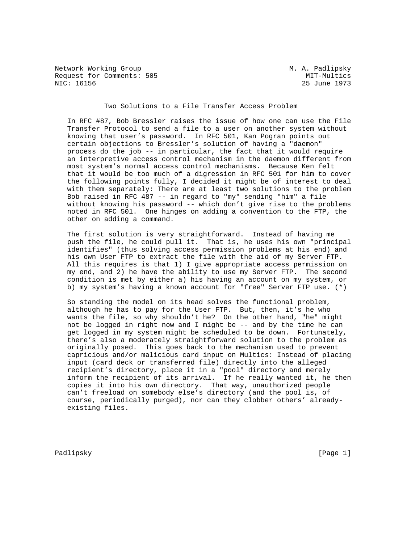Network Working Group Metwork Working Group Metwork Metwork Metalson Request for Comments: 505 MIT-Multics<br>NIC: 16156 25 June 1973

25 June 1973

Two Solutions to a File Transfer Access Problem

 In RFC #87, Bob Bressler raises the issue of how one can use the File Transfer Protocol to send a file to a user on another system without knowing that user's password. In RFC 501, Kan Pogran points out certain objections to Bressler's solution of having a "daemon" process do the job -- in particular, the fact that it would require an interpretive access control mechanism in the daemon different from most system's normal access control mechanisms. Because Ken felt that it would be too much of a digression in RFC 501 for him to cover the following points fully, I decided it might be of interest to deal with them separately: There are at least two solutions to the problem Bob raised in RFC 487 -- in regard to "my" sending "him" a file without knowing his password -- which don't give rise to the problems noted in RFC 501. One hinges on adding a convention to the FTP, the other on adding a command.

 The first solution is very straightforward. Instead of having me push the file, he could pull it. That is, he uses his own "principal identifies" (thus solving access permission problems at his end) and his own User FTP to extract the file with the aid of my Server FTP. All this requires is that 1) I give appropriate access permission on my end, and 2) he have the ability to use my Server FTP. The second condition is met by either a) his having an account on my system, or b) my system's having a known account for "free" Server FTP use. (\*)

 So standing the model on its head solves the functional problem, although he has to pay for the User FTP. But, then, it's he who wants the file, so why shouldn't he? On the other hand, "he" might not be logged in right now and I might be -- and by the time he can get logged in my system might be scheduled to be down. Fortunately, there's also a moderately straightforward solution to the problem as originally posed. This goes back to the mechanism used to prevent capricious and/or malicious card input on Multics: Instead of placing input (card deck or transferred file) directly into the alleged recipient's directory, place it in a "pool" directory and merely inform the recipient of its arrival. If he really wanted it, he then copies it into his own directory. That way, unauthorized people can't freeload on somebody else's directory (and the pool is, of course, periodically purged), nor can they clobber others' already existing files.

Padlipsky [Page 1]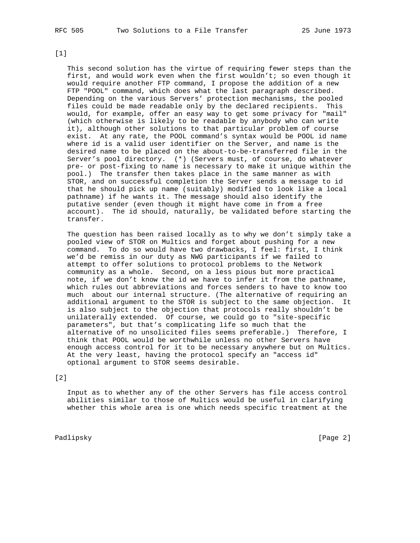[1]

 This second solution has the virtue of requiring fewer steps than the first, and would work even when the first wouldn't; so even though it would require another FTP command, I propose the addition of a new FTP "POOL" command, which does what the last paragraph described. Depending on the various Servers' protection mechanisms, the pooled files could be made readable only by the declared recipients. This would, for example, offer an easy way to get some privacy for "mail" (which otherwise is likely to be readable by anybody who can write it), although other solutions to that particular problem of course exist. At any rate, the POOL command's syntax would be POOL id name where id is a valid user identifier on the Server, and name is the desired name to be placed on the about-to-be-transferred file in the Server's pool directory. (\*) (Servers must, of course, do whatever pre- or post-fixing to name is necessary to make it unique within the pool.) The transfer then takes place in the same manner as with STOR, and on successful completion the Server sends a message to id that he should pick up name (suitably) modified to look like a local pathname) if he wants it. The message should also identify the putative sender (even though it might have come in from a free account). The id should, naturally, be validated before starting the transfer.

 The question has been raised locally as to why we don't simply take a pooled view of STOR on Multics and forget about pushing for a new command. To do so would have two drawbacks, I feel: first, I think we'd be remiss in our duty as NWG participants if we failed to attempt to offer solutions to protocol problems to the Network community as a whole. Second, on a less pious but more practical note, if we don't know the id we have to infer it from the pathname, which rules out abbreviations and forces senders to have to know too much about our internal structure. (The alternative of requiring an additional argument to the STOR is subject to the same objection. It is also subject to the objection that protocols really shouldn't be unilaterally extended. Of course, we could go to "site-specific parameters", but that's complicating life so much that the alternative of no unsolicited files seems preferable.) Therefore, I think that POOL would be worthwhile unless no other Servers have enough access control for it to be necessary anywhere but on Multics. At the very least, having the protocol specify an "access id" optional argument to STOR seems desirable.

## [2]

 Input as to whether any of the other Servers has file access control abilities similar to those of Multics would be useful in clarifying whether this whole area is one which needs specific treatment at the

Padlipsky [Page 2]